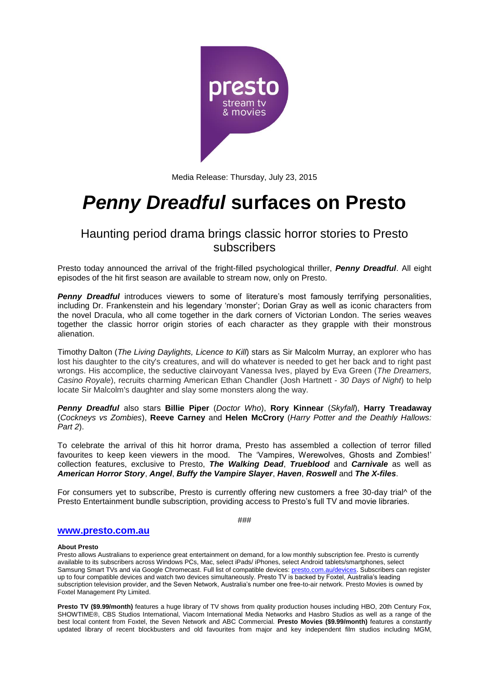

Media Release: Thursday, July 23, 2015

# *Penny Dreadful* **surfaces on Presto**

## Haunting period drama brings classic horror stories to Presto subscribers

Presto today announced the arrival of the fright-filled psychological thriller, *Penny Dreadful*. All eight episodes of the hit first season are available to stream now, only on Presto.

**Penny Dreadful** introduces viewers to some of literature's most famously terrifying personalities, including Dr. Frankenstein and his legendary 'monster'; Dorian Gray as well as iconic characters from the novel Dracula, who all come together in the dark corners of Victorian London. The series weaves together the classic horror origin stories of each character as they grapple with their monstrous alienation.

Timothy Dalton (*The Living Daylights, Licence to Kill*) stars as Sir Malcolm Murray, an explorer who has lost his daughter to the city's creatures, and will do whatever is needed to get her back and to right past wrongs. His accomplice, the seductive clairvoyant Vanessa Ives, played by Eva Green (*The Dreamers, Casino Royale*), recruits charming American Ethan Chandler (Josh Hartnett - *30 Days of Night*) to help locate Sir Malcolm's daughter and slay some monsters along the way.

*Penny Dreadful* also stars **Billie Piper** (*Doctor Who*), **Rory Kinnear** (*Skyfall*), **Harry Treadaway** (*Cockneys vs Zombies*), **Reeve Carney** and **Helen McCrory** (*Harry Potter and the Deathly Hallows: Part 2*).

To celebrate the arrival of this hit horror drama, Presto has assembled a collection of terror filled favourites to keep keen viewers in the mood. The 'Vampires, Werewolves, Ghosts and Zombies!' collection features, exclusive to Presto, *The Walking Dead*, *Trueblood* and *Carnivale* as well as *American Horror Story*, *Angel*, *Buffy the Vampire Slayer*, *Haven*, *Roswell* and *The X-files*.

For consumers yet to subscribe, Presto is currently offering new customers a free 30-day trial^ of the Presto Entertainment bundle subscription, providing access to Presto's full TV and movie libraries.

###

### **[www.presto.com.au](http://www.presto.com.au/)**

#### **About Presto**

Presto allows Australians to experience great entertainment on demand, for a low monthly subscription fee. Presto is currently available to its subscribers across Windows PCs, Mac, select iPads/ iPhones, select Android tablets/smartphones, select Samsung Smart TVs and via Google Chromecast. Full list of compatible devices: [presto.com.au/devices.](http://presto.com.au/devices) Subscribers can register up to four compatible devices and watch two devices simultaneously. Presto TV is backed by Foxtel, Australia's leading subscription television provider, and the Seven Network, Australia's number one free-to-air network. Presto Movies is owned by Foxtel Management Pty Limited.

**Presto TV (\$9.99/month)** features a huge library of TV shows from quality production houses including HBO, 20th Century Fox, SHOWTIME®, CBS Studios International, Viacom International Media Networks and Hasbro Studios as well as a range of the best local content from Foxtel, the Seven Network and ABC Commercial. **Presto Movies (\$9.99/month)** features a constantly updated library of recent blockbusters and old favourites from major and key independent film studios including MGM,